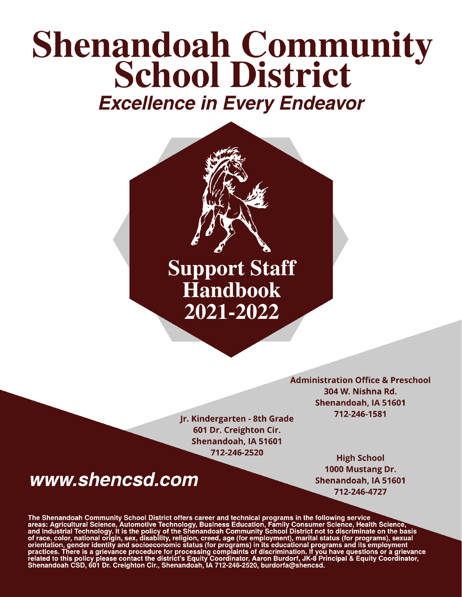# **Shenandoah Community School District Excellence in Every Endeavor**



Jr. Kindergarten - 8th Grade 601 Dr. Creighton Cir. Shenandoah, IA 51601 712-246-2520

## www.shencsd.com

**Administration Office & Preschool** 304 W. Nishna Rd. Shenandoah, IA 51601 712-246-1581

> **High School** 1000 Mustang Dr. Shenandoah, IA 51601 712-246-4727

The Shenandoah Community School District offers career and technical programs in the following service<br>areas: Agricultural Science, Automotive Technology, Business Education, Family Consumer Science, Health Science,<br>and In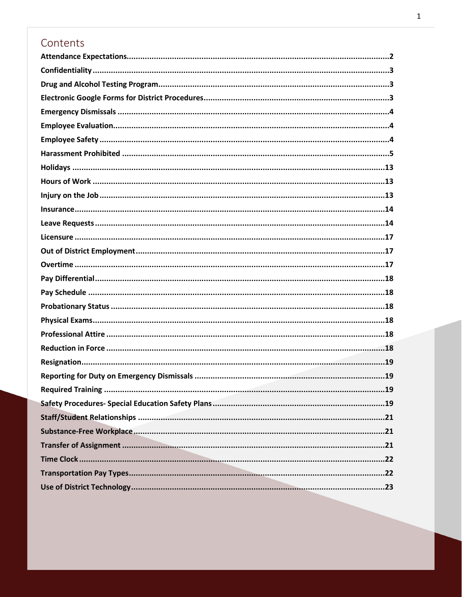### Contents

| <b>Required Training</b><br>19 |
|--------------------------------|
|                                |
|                                |
|                                |
|                                |
|                                |
|                                |
|                                |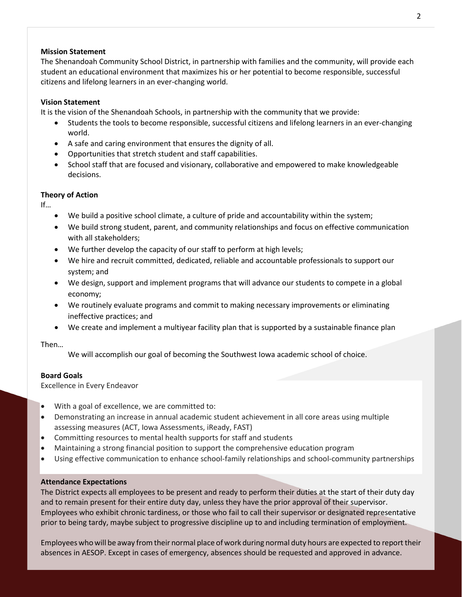#### **Mission Statement**

The Shenandoah Community School District, in partnership with families and the community, will provide each student an educational environment that maximizes his or her potential to become responsible, successful citizens and lifelong learners in an ever-changing world.

#### **Vision Statement**

It is the vision of the Shenandoah Schools, in partnership with the community that we provide:

- Students the tools to become responsible, successful citizens and lifelong learners in an ever-changing world.
- A safe and caring environment that ensures the dignity of all.
- Opportunities that stretch student and staff capabilities.
- School staff that are focused and visionary, collaborative and empowered to make knowledgeable decisions.

#### **Theory of Action**

If…

- We build a positive school climate, a culture of pride and accountability within the system;
- We build strong student, parent, and community relationships and focus on effective communication with all stakeholders;
- We further develop the capacity of our staff to perform at high levels;
- We hire and recruit committed, dedicated, reliable and accountable professionals to support our system; and
- We design, support and implement programs that will advance our students to compete in a global economy;
- We routinely evaluate programs and commit to making necessary improvements or eliminating ineffective practices; and
- We create and implement a multiyear facility plan that is supported by a sustainable finance plan

Then…

We will accomplish our goal of becoming the Southwest Iowa academic school of choice.

#### **Board Goals**

Excellence in Every Endeavor

- With a goal of excellence, we are committed to:
- Demonstrating an increase in annual academic student achievement in all core areas using multiple assessing measures (ACT, Iowa Assessments, iReady, FAST)
- Committing resources to mental health supports for staff and students
- Maintaining a strong financial position to support the comprehensive education program
- Using effective communication to enhance school-family relationships and school-community partnerships

#### <span id="page-2-0"></span>**Attendance Expectations**

The District expects all employees to be present and ready to perform their duties at the start of their duty day and to remain present for their entire duty day, unless they have the prior approval of their supervisor. Employees who exhibit chronic tardiness, or those who fail to call their supervisor or designated representative prior to being tardy, maybe subject to progressive discipline up to and including termination of employment.

Employees who will be away fromtheir normal place ofwork during normal duty hours are expected to report their absences in AESOP. Except in cases of emergency, absences should be requested and approved in advance.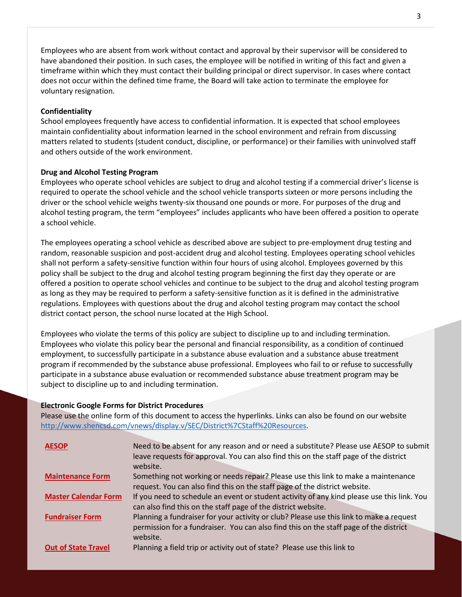Employees who are absent from work without contact and approval by their supervisor will be considered to have abandoned their position. In such cases, the employee will be notified in writing of this fact and given a timeframe within which they must contact their building principal or direct supervisor. In cases where contact does not occur within the defined time frame, the Board will take action to terminate the employee for voluntary resignation.

#### <span id="page-3-0"></span>**Confidentiality**

School employees frequently have access to confidential information. It is expected that school employees maintain confidentiality about information learned in the school environment and refrain from discussing matters related to students (student conduct, discipline, or performance) or their families with uninvolved staff and others outside of the work environment.

#### <span id="page-3-1"></span>**Drug and Alcohol Testing Program**

Employees who operate school vehicles are subject to drug and alcohol testing if a commercial driver's license is required to operate the school vehicle and the school vehicle transports sixteen or more persons including the driver or the school vehicle weighs twenty-six thousand one pounds or more. For purposes of the drug and alcohol testing program, the term "employees" includes applicants who have been offered a position to operate a school vehicle.

The employees operating a school vehicle as described above are subject to pre-employment drug testing and random, reasonable suspicion and post-accident drug and alcohol testing. Employees operating school vehicles shall not perform a safety-sensitive function within four hours of using alcohol. Employees governed by this policy shall be subject to the drug and alcohol testing program beginning the first day they operate or are offered a position to operate school vehicles and continue to be subject to the drug and alcohol testing program as long as they may be required to perform a safety-sensitive function as it is defined in the administrative regulations. Employees with questions about the drug and alcohol testing program may contact the school district contact person, the school nurse located at the High School.

Employees who violate the terms of this policy are subject to discipline up to and including termination. Employees who violate this policy bear the personal and financial responsibility, as a condition of continued employment, to successfully participate in a substance abuse evaluation and a substance abuse treatment program if recommended by the substance abuse professional. Employees who fail to or refuse to successfully participate in a substance abuse evaluation or recommended substance abuse treatment program may be subject to discipline up to and including termination.

#### <span id="page-3-2"></span>**Electronic Google Forms for District Procedures**

Please use the online form of this document to access the hyperlinks. Links can also be found on our website [http://www.shencsd.com/vnews/display.v/SEC/District%7CStaff%20Resources.](http://www.shencsd.com/vnews/display.v/SEC/District%7CStaff%20Resources)

| <b>AESOP</b>                | Need to be absent for any reason and or need a substitute? Please use AESOP to submit<br>leave requests for approval. You can also find this on the staff page of the district<br>website. |
|-----------------------------|--------------------------------------------------------------------------------------------------------------------------------------------------------------------------------------------|
| <b>Maintenance Form</b>     | Something not working or needs repair? Please use this link to make a maintenance                                                                                                          |
|                             | request. You can also find this on the staff page of the district website.                                                                                                                 |
| <b>Master Calendar Form</b> | If you need to schedule an event or student activity of any kind please use this link. You                                                                                                 |
|                             | can also find this on the staff page of the district website.                                                                                                                              |
| <b>Fundraiser Form</b>      | Planning a fundraiser for your activity or club? Please use this link to make a request                                                                                                    |
|                             | permission for a fundraiser. You can also find this on the staff page of the district                                                                                                      |
|                             | website.                                                                                                                                                                                   |
| <b>Out of State Travel</b>  | Planning a field trip or activity out of state? Please use this link to                                                                                                                    |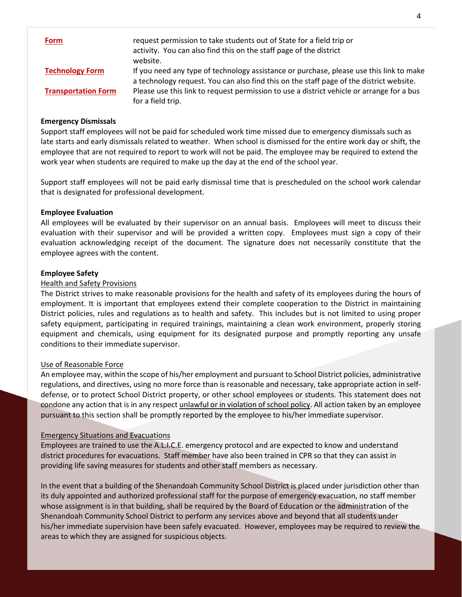| <b>Form</b>                | request permission to take students out of State for a field trip or<br>activity. You can also find this on the staff page of the district                                         |
|----------------------------|------------------------------------------------------------------------------------------------------------------------------------------------------------------------------------|
|                            | website.                                                                                                                                                                           |
| <b>Technology Form</b>     | If you need any type of technology assistance or purchase, please use this link to make<br>a technology request. You can also find this on the staff page of the district website. |
| <b>Transportation Form</b> | Please use this link to request permission to use a district vehicle or arrange for a bus<br>for a field trip.                                                                     |

#### <span id="page-4-0"></span>**Emergency Dismissals**

Support staff employees will not be paid for scheduled work time missed due to emergency dismissals such as late starts and early dismissals related to weather. When school is dismissed for the entire work day or shift, the employee that are not required to report to work will not be paid. The employee may be required to extend the work year when students are required to make up the day at the end of the school year.

Support staff employees will not be paid early dismissal time that is prescheduled on the school work calendar that is designated for professional development.

#### <span id="page-4-1"></span>**Employee Evaluation**

All employees will be evaluated by their supervisor on an annual basis. Employees will meet to discuss their evaluation with their supervisor and will be provided a written copy. Employees must sign a copy of their evaluation acknowledging receipt of the document. The signature does not necessarily constitute that the employee agrees with the content.

#### <span id="page-4-2"></span>**Employee Safety**

#### Health and Safety Provisions

The District strives to make reasonable provisions for the health and safety of its employees during the hours of employment. It is important that employees extend their complete cooperation to the District in maintaining District policies, rules and regulations as to health and safety. This includes but is not limited to using proper safety equipment, participating in required trainings, maintaining a clean work environment, properly storing equipment and chemicals, using equipment for its designated purpose and promptly reporting any unsafe conditions to their immediate supervisor.

#### Use of Reasonable Force

An employee may, within the scope of his/her employment and pursuant to School District policies, administrative regulations, and directives, using no more force than is reasonable and necessary, take appropriate action in selfdefense, or to protect School District property, or other school employees or students. This statement does not condone any action that is in any respect unlawful or in violation of school policy. All action taken by an employee pursuant to this section shall be promptly reported by the employee to his/her immediate supervisor.

#### Emergency Situations and Evacuations

Employees are trained to use the A.L.I.C.E. emergency protocol and are expected to know and understand district procedures for evacuations. Staff member have also been trained in CPR so that they can assist in providing life saving measures for students and other staff members as necessary.

In the event that a building of the Shenandoah Community School District is placed under jurisdiction other than its duly appointed and authorized professional staff for the purpose of emergency evacuation, no staff member whose assignment is in that building, shall be required by the Board of Education or the administration of the Shenandoah Community School District to perform any services above and beyond that all students under his/her immediate supervision have been safely evacuated. However, employees may be required to review the areas to which they are assigned for suspicious objects.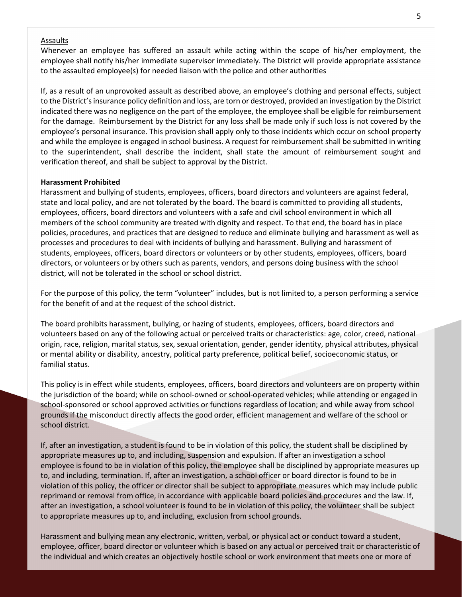#### Assaults

Whenever an employee has suffered an assault while acting within the scope of his/her employment, the employee shall notify his/her immediate supervisor immediately. The District will provide appropriate assistance to the assaulted employee(s) for needed liaison with the police and other authorities

If, as a result of an unprovoked assault as described above, an employee's clothing and personal effects, subject to the District's insurance policy definition and loss, are torn or destroyed, provided an investigation by the District indicated there was no negligence on the part of the employee, the employee shall be eligible for reimbursement for the damage. Reimbursement by the District for any loss shall be made only if such loss is not covered by the employee's personal insurance. This provision shall apply only to those incidents which occur on school property and while the employee is engaged in school business. A request for reimbursement shall be submitted in writing to the superintendent, shall describe the incident, shall state the amount of reimbursement sought and verification thereof, and shall be subject to approval by the District.

#### <span id="page-5-0"></span>**Harassment Prohibited**

Harassment and bullying of students, employees, officers, board directors and volunteers are against federal, state and local policy, and are not tolerated by the board. The board is committed to providing all students, employees, officers, board directors and volunteers with a safe and civil school environment in which all members of the school community are treated with dignity and respect. To that end, the board has in place policies, procedures, and practices that are designed to reduce and eliminate bullying and harassment as well as processes and procedures to deal with incidents of bullying and harassment. Bullying and harassment of students, employees, officers, board directors or volunteers or by other students, employees, officers, board directors, or volunteers or by others such as parents, vendors, and persons doing business with the school district, will not be tolerated in the school or school district.

For the purpose of this policy, the term "volunteer" includes, but is not limited to, a person performing a service for the benefit of and at the request of the school district.

The board prohibits harassment, bullying, or hazing of students, employees, officers, board directors and volunteers based on any of the following actual or perceived traits or characteristics: age, color, creed, national origin, race, religion, marital status, sex, sexual orientation, gender, gender identity, physical attributes, physical or mental ability or disability, ancestry, political party preference, political belief, socioeconomic status, or familial status.

This policy is in effect while students, employees, officers, board directors and volunteers are on property within the jurisdiction of the board; while on school-owned or school-operated vehicles; while attending or engaged in school-sponsored or school approved activities or functions regardless of location; and while away from school grounds if the misconduct directly affects the good order, efficient management and welfare of the school or school district.

If, after an investigation, a student is found to be in violation of this policy, the student shall be disciplined by appropriate measures up to, and including, suspension and expulsion. If after an investigation a school employee is found to be in violation of this policy, the employee shall be disciplined by appropriate measures up to, and including, termination. If, after an investigation, a school officer or board director is found to be in violation of this policy, the officer or director shall be subject to appropriate measures which may include public reprimand or removal from office, in accordance with applicable board policies and procedures and the law. If, after an investigation, a school volunteer is found to be in violation of this policy, the volunteer shall be subject to appropriate measures up to, and including, exclusion from school grounds.

Harassment and bullying mean any electronic, written, verbal, or physical act or conduct toward a student, employee, officer, board director or volunteer which is based on any actual or perceived trait or characteristic of the individual and which creates an objectively hostile school or work environment that meets one or more of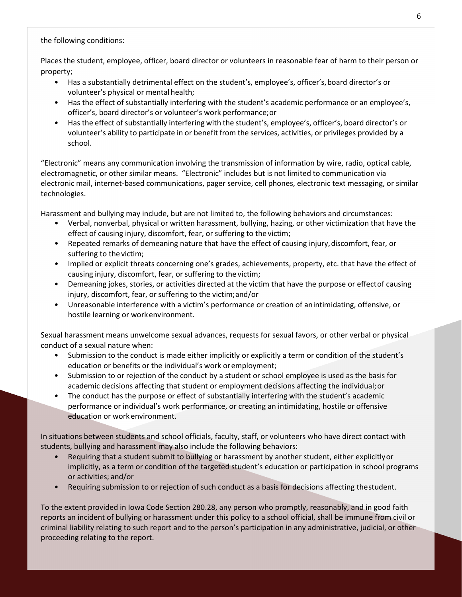the following conditions:

Places the student, employee, officer, board director or volunteers in reasonable fear of harm to their person or property;

- Has a substantially detrimental effect on the student's, employee's, officer's,board director's or volunteer's physical or mental health;
- Has the effect of substantially interfering with the student's academic performance or an employee's, officer's, board director's or volunteer's work performance;or
- Has the effect of substantially interfering with the student's, employee's, officer's, board director's or volunteer's ability to participate in or benefit from the services, activities, or privileges provided by a school.

"Electronic" means any communication involving the transmission of information by wire, radio, optical cable, electromagnetic, or other similar means. "Electronic" includes but is not limited to communication via electronic mail, internet-based communications, pager service, cell phones, electronic text messaging, or similar technologies.

Harassment and bullying may include, but are not limited to, the following behaviors and circumstances:

- Verbal, nonverbal, physical or written harassment, bullying, hazing, or other victimization that have the effect of causing injury, discomfort, fear, or suffering to the victim;
- Repeated remarks of demeaning nature that have the effect of causing injury, discomfort, fear, or suffering to the victim;
- Implied or explicit threats concerning one's grades, achievements, property, etc. that have the effect of causing injury, discomfort, fear, or suffering to the victim;
- Demeaning jokes, stories, or activities directed at the victim that have the purpose or effectof causing injury, discomfort, fear, or suffering to the victim;and/or
- Unreasonable interference with a victim's performance or creation of anintimidating, offensive, or hostile learning or workenvironment.

Sexual harassment means unwelcome sexual advances, requests for sexual favors, or other verbal or physical conduct of a sexual nature when:

- Submission to the conduct is made either implicitly or explicitly a term or condition of the student's education or benefits or the individual's work oremployment;
- Submission to or rejection of the conduct by a student or school employee is used as the basis for academic decisions affecting that student or employment decisions affecting the individual; or
- The conduct has the purpose or effect of substantially interfering with the student's academic performance or individual's work performance, or creating an intimidating, hostile or offensive education or work environment.

In situations between students and school officials, faculty, staff, or volunteers who have direct contact with students, bullying and harassment may also include the following behaviors:

- Requiring that a student submit to bullying or harassment by another student, either explicitlyor implicitly, as a term or condition of the targeted student's education or participation in school programs or activities; and/or
- Requiring submission to or rejection of such conduct as a basis for decisions affecting thestudent.

To the extent provided in Iowa Code Section 280.28, any person who promptly, reasonably, and in good faith reports an incident of bullying or harassment under this policy to a school official, shall be immune from civil or criminal liability relating to such report and to the person's participation in any administrative, judicial, or other proceeding relating to the report.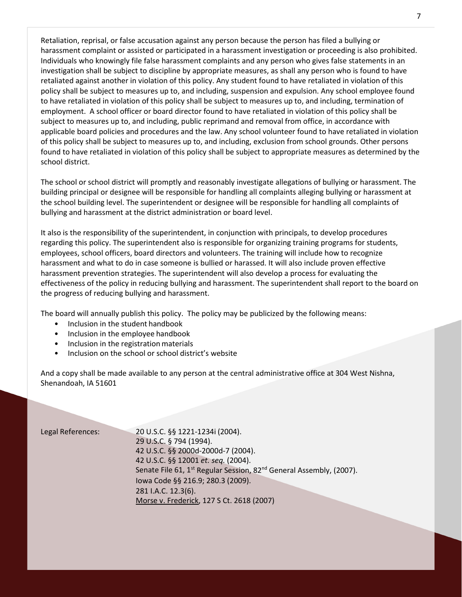Retaliation, reprisal, or false accusation against any person because the person has filed a bullying or harassment complaint or assisted or participated in a harassment investigation or proceeding is also prohibited. Individuals who knowingly file false harassment complaints and any person who gives false statements in an investigation shall be subject to discipline by appropriate measures, as shall any person who is found to have retaliated against another in violation of this policy. Any student found to have retaliated in violation of this policy shall be subject to measures up to, and including, suspension and expulsion. Any school employee found to have retaliated in violation of this policy shall be subject to measures up to, and including, termination of employment. A school officer or board director found to have retaliated in violation of this policy shall be subject to measures up to, and including, public reprimand and removal from office, in accordance with applicable board policies and procedures and the law. Any school volunteer found to have retaliated in violation of this policy shall be subject to measures up to, and including, exclusion from school grounds. Other persons found to have retaliated in violation of this policy shall be subject to appropriate measures as determined by the school district.

The school or school district will promptly and reasonably investigate allegations of bullying or harassment. The building principal or designee will be responsible for handling all complaints alleging bullying or harassment at the school building level. The superintendent or designee will be responsible for handling all complaints of bullying and harassment at the district administration or board level.

It also is the responsibility of the superintendent, in conjunction with principals, to develop procedures regarding this policy. The superintendent also is responsible for organizing training programs for students, employees, school officers, board directors and volunteers. The training will include how to recognize harassment and what to do in case someone is bullied or harassed. It will also include proven effective harassment prevention strategies. The superintendent will also develop a process for evaluating the effectiveness of the policy in reducing bullying and harassment. The superintendent shall report to the board on the progress of reducing bullying and harassment.

The board will annually publish this policy. The policy may be publicized by the following means:

- Inclusion in the student handbook
- Inclusion in the employee handbook
- Inclusion in the registration materials
- Inclusion on the school or school district's website

And a copy shall be made available to any person at the central administrative office at 304 West Nishna, Shenandoah, IA 51601

Legal References: 20 U.S.C. §§ 1221-1234i (2004). 29 U.S.C. § 794 (1994). 42 U.S.C. §§ 2000d-2000d-7 (2004). 42 U.S.C. §§ 12001 *et. seq.* (2004). Senate File 61, 1<sup>st</sup> Regular Session, 82<sup>nd</sup> General Assembly, (2007). Iowa Code §§ 216.9; 280.3 (2009). 281 I.A.C. 12.3(6). Morse v. Frederick, 127 S Ct. 2618 (2007)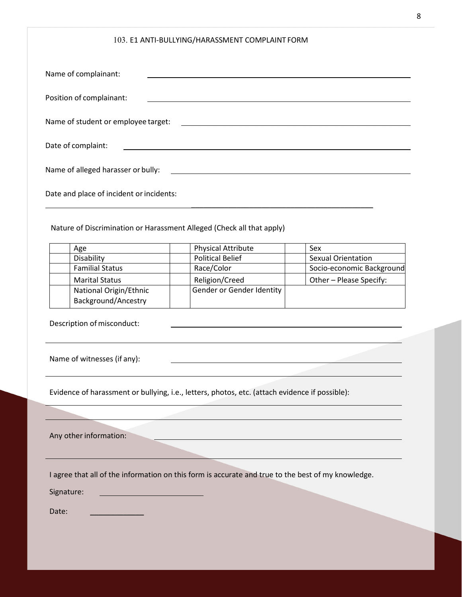#### 103. E1 ANTI-BULLYING/HARASSMENT COMPLAINT FORM

| Name of complainant:                                                                                                                                        |                           |                           |  |
|-------------------------------------------------------------------------------------------------------------------------------------------------------------|---------------------------|---------------------------|--|
| Position of complainant:                                                                                                                                    |                           |                           |  |
| Name of student or employee target:<br><u> 1989 - Johann Barbara, martxa alemaniar amerikan basar da da a shekara 1980 - Andrew Santa Barbara, a shekar</u> |                           |                           |  |
| Date of complaint:                                                                                                                                          |                           |                           |  |
| Name of alleged harasser or bully:<br><u> 1989 - John Stein, mars and de Brazilian (b. 1989)</u>                                                            |                           |                           |  |
| Date and place of incident or incidents:                                                                                                                    |                           |                           |  |
| Nature of Discrimination or Harassment Alleged (Check all that apply)                                                                                       |                           |                           |  |
| Age                                                                                                                                                         | <b>Physical Attribute</b> | Sex                       |  |
| Disability                                                                                                                                                  | <b>Political Belief</b>   | Sexual Orientation        |  |
| <b>Familial Status</b>                                                                                                                                      | Race/Color                | Socio-economic Background |  |
| <b>Marital Status</b>                                                                                                                                       | Religion/Creed            | Other - Please Specify:   |  |
| National Origin/Ethnic                                                                                                                                      | Gender or Gender Identity |                           |  |
| Background/Ancestry                                                                                                                                         |                           |                           |  |
| Description of misconduct:                                                                                                                                  |                           |                           |  |
| Name of witnesses (if any):<br>the contract of the contract of the contract of the contract of the contract of                                              |                           |                           |  |
| Evidence of harassment or bullying, i.e., letters, photos, etc. (attach evidence if possible):                                                              |                           |                           |  |
|                                                                                                                                                             |                           |                           |  |
| Any other information:                                                                                                                                      |                           |                           |  |
|                                                                                                                                                             |                           |                           |  |

I agree that all of the information on this form is accurate and true to the best of my knowledge.

Signature: 

Date: \_\_\_\_\_\_\_\_\_\_\_\_\_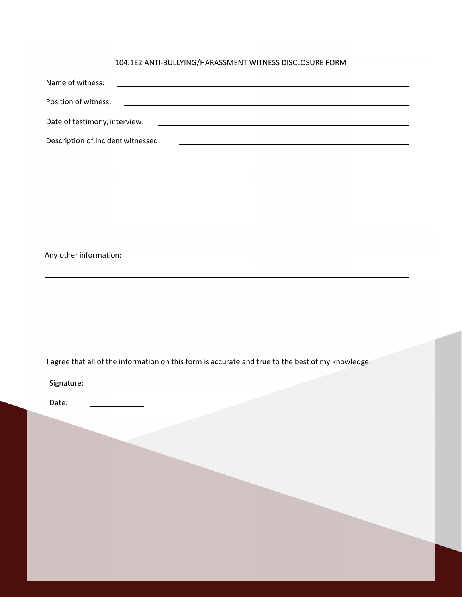| 104.1E2 ANTI-BULLYING/HARASSMENT WITNESS DISCLOSURE FORM |  |
|----------------------------------------------------------|--|
|----------------------------------------------------------|--|

| Name of witness:<br>and the control of the control of the control of the control of the control of the control of the control of the                   |
|--------------------------------------------------------------------------------------------------------------------------------------------------------|
| Position of witness:<br><u> 1989 - Johann Stoff, amerikansk politiker (d. 1989)</u>                                                                    |
| Date of testimony, interview:<br><u> 1989 - Johann Harry Harry Harry Harry Harry Harry Harry Harry Harry Harry Harry Harry Harry Harry Harry Harry</u> |
| Description of incident witnessed:<br><u> 1980 - Johann Barnett, fransk politik (d. 1980)</u>                                                          |
|                                                                                                                                                        |
| ,我们也不会有什么?""我们的人,我们也不会有什么?""我们的人,我们也不会有什么?""我们的人,我们也不会有什么?""我们的人,我们也不会有什么?""我们的人                                                                       |
|                                                                                                                                                        |
|                                                                                                                                                        |
|                                                                                                                                                        |
| Any other information:                                                                                                                                 |
| <u> 1989 - Johann Stoff, amerikansk politiker (d. 1989)</u>                                                                                            |
|                                                                                                                                                        |
|                                                                                                                                                        |
| ,我们也不会有什么。""我们的人,我们也不会有什么?""我们的人,我们也不会有什么?""我们的人,我们也不会有什么?""我们的人,我们也不会有什么?""我们的人                                                                       |
|                                                                                                                                                        |
| I agree that all of the information on this form is accurate and true to the best of my knowledge.                                                     |
| Signature:                                                                                                                                             |
|                                                                                                                                                        |
| Date:                                                                                                                                                  |
|                                                                                                                                                        |
|                                                                                                                                                        |
|                                                                                                                                                        |
|                                                                                                                                                        |
|                                                                                                                                                        |
|                                                                                                                                                        |
|                                                                                                                                                        |
|                                                                                                                                                        |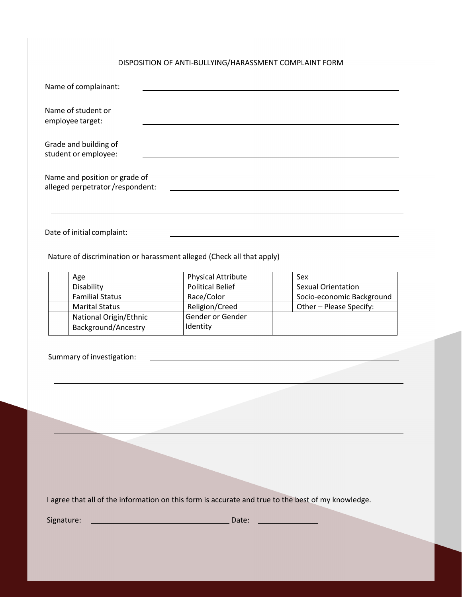#### DISPOSITION OF ANTI-BULLYING/HARASSMENT COMPLAINT FORM

| Name of complainant:                                             |  |
|------------------------------------------------------------------|--|
| Name of student or<br>employee target:                           |  |
| Grade and building of<br>student or employee:                    |  |
| Name and position or grade of<br>alleged perpetrator/respondent: |  |
|                                                                  |  |

Date of initial complaint:

Nature of discrimination or harassment alleged (Check all that apply)

| Age                                           | <b>Physical Attribute</b>    | Sex                       |
|-----------------------------------------------|------------------------------|---------------------------|
| Disability                                    | <b>Political Belief</b>      | Sexual Orientation        |
| <b>Familial Status</b>                        | Race/Color                   | Socio-economic Background |
| <b>Marital Status</b>                         | Religion/Creed               | Other - Please Specify:   |
| National Origin/Ethnic<br>Background/Ancestry | Gender or Gender<br>Identity |                           |

| I agree that all of the information on this form is accurate and true to the best of my knowledge. |  |  |  |
|----------------------------------------------------------------------------------------------------|--|--|--|
|----------------------------------------------------------------------------------------------------|--|--|--|

Signature: Date: \_\_\_\_\_\_\_\_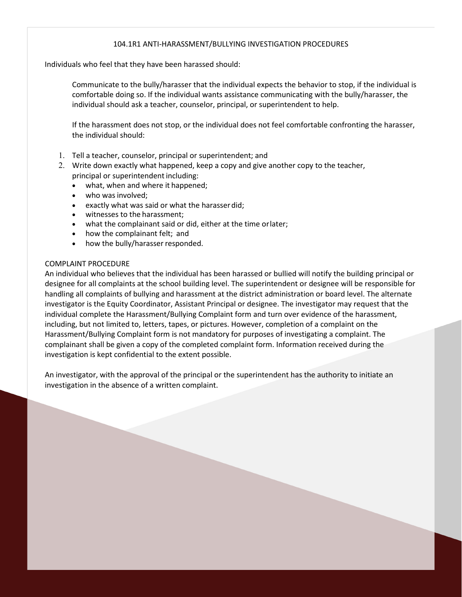#### 104.1R1 ANTI-HARASSMENT/BULLYING INVESTIGATION PROCEDURES

Individuals who feel that they have been harassed should:

Communicate to the bully/harasser that the individual expects the behavior to stop, if the individual is comfortable doing so. If the individual wants assistance communicating with the bully/harasser, the individual should ask a teacher, counselor, principal, or superintendent to help.

If the harassment does not stop, or the individual does not feel comfortable confronting the harasser, the individual should:

- 1. Tell a teacher, counselor, principal or superintendent; and
- 2. Write down exactly what happened, keep a copy and give another copy to the teacher, principal or superintendent including:
	- what, when and where it happened;
	- who was involved;
	- exactly what was said or what the harasserdid;
	- witnesses to the harassment;
	- what the complainant said or did, either at the time orlater;
	- how the complainant felt; and
	- how the bully/harasser responded.

#### COMPLAINT PROCEDURE

An individual who believes that the individual has been harassed or bullied will notify the building principal or designee for all complaints at the school building level. The superintendent or designee will be responsible for handling all complaints of bullying and harassment at the district administration or board level. The alternate investigator is the Equity Coordinator, Assistant Principal or designee. The investigator may request that the individual complete the Harassment/Bullying Complaint form and turn over evidence of the harassment, including, but not limited to, letters, tapes, or pictures. However, completion of a complaint on the Harassment/Bullying Complaint form is not mandatory for purposes of investigating a complaint. The complainant shall be given a copy of the completed complaint form. Information received during the investigation is kept confidential to the extent possible.

An investigator, with the approval of the principal or the superintendent has the authority to initiate an investigation in the absence of a written complaint.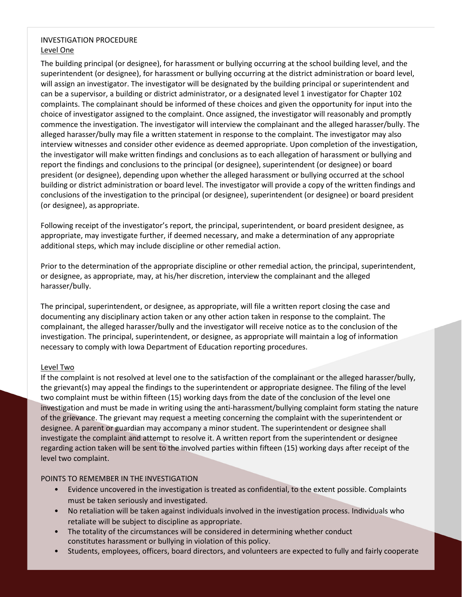#### INVESTIGATION PROCEDURE Level One

The building principal (or designee), for harassment or bullying occurring at the school building level, and the superintendent (or designee), for harassment or bullying occurring at the district administration or board level, will assign an investigator. The investigator will be designated by the building principal or superintendent and can be a supervisor, a building or district administrator, or a designated level 1 investigator for Chapter 102 complaints. The complainant should be informed of these choices and given the opportunity for input into the choice of investigator assigned to the complaint. Once assigned, the investigator will reasonably and promptly commence the investigation. The investigator will interview the complainant and the alleged harasser/bully. The alleged harasser/bully may file a written statement in response to the complaint. The investigator may also interview witnesses and consider other evidence as deemed appropriate. Upon completion of the investigation, the investigator will make written findings and conclusions as to each allegation of harassment or bullying and report the findings and conclusions to the principal (or designee), superintendent (or designee) or board president (or designee), depending upon whether the alleged harassment or bullying occurred at the school building or district administration or board level. The investigator will provide a copy of the written findings and conclusions of the investigation to the principal (or designee), superintendent (or designee) or board president (or designee), as appropriate.

Following receipt of the investigator's report, the principal, superintendent, or board president designee, as appropriate, may investigate further, if deemed necessary, and make a determination of any appropriate additional steps, which may include discipline or other remedial action.

Prior to the determination of the appropriate discipline or other remedial action, the principal, superintendent, or designee, as appropriate, may, at his/her discretion, interview the complainant and the alleged harasser/bully.

The principal, superintendent, or designee, as appropriate, will file a written report closing the case and documenting any disciplinary action taken or any other action taken in response to the complaint. The complainant, the alleged harasser/bully and the investigator will receive notice as to the conclusion of the investigation. The principal, superintendent, or designee, as appropriate will maintain a log of information necessary to comply with Iowa Department of Education reporting procedures.

#### Level Two

If the complaint is not resolved at level one to the satisfaction of the complainant or the alleged harasser/bully, the grievant(s) may appeal the findings to the superintendent or appropriate designee. The filing of the level two complaint must be within fifteen (15) working days from the date of the conclusion of the level one investigation and must be made in writing using the anti-harassment/bullying complaint form stating the nature of the grievance. The grievant may request a meeting concerning the complaint with the superintendent or designee. A parent or guardian may accompany a minor student. The superintendent or designee shall investigate the complaint and attempt to resolve it. A written report from the superintendent or designee regarding action taken will be sent to the involved parties within fifteen (15) working days after receipt of the level two complaint.

#### POINTS TO REMEMBER IN THE INVESTIGATION

- Evidence uncovered in the investigation is treated as confidential, to the extent possible. Complaints must be taken seriously and investigated.
- No retaliation will be taken against individuals involved in the investigation process. Individuals who retaliate will be subject to discipline as appropriate.
- The totality of the circumstances will be considered in determining whether conduct constitutes harassment or bullying in violation of this policy.
- Students, employees, officers, board directors, and volunteers are expected to fully and fairly cooperate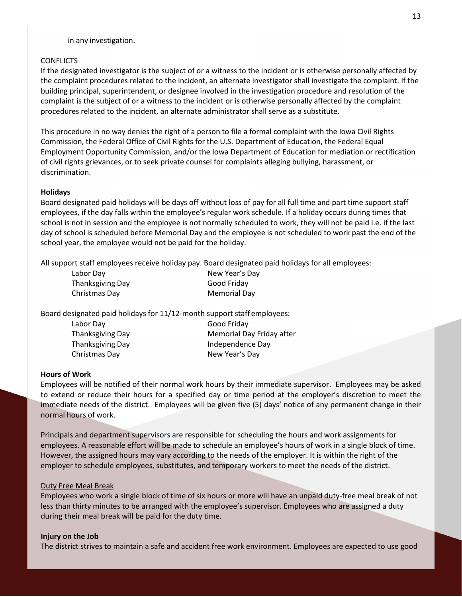#### in any investigation.

#### **CONFLICTS**

If the designated investigator is the subject of or a witness to the incident or is otherwise personally affected by the complaint procedures related to the incident, an alternate investigator shall investigate the complaint. If the building principal, superintendent, or designee involved in the investigation procedure and resolution of the complaint is the subject of or a witness to the incident or is otherwise personally affected by the complaint procedures related to the incident, an alternate administrator shall serve as a substitute.

This procedure in no way denies the right of a person to file a formal complaint with the Iowa Civil Rights Commission, the Federal Office of Civil Rights for the U.S. Department of Education, the Federal Equal Employment Opportunity Commission, and/or the Iowa Department of Education for mediation or rectification of civil rights grievances, or to seek private counsel for complaints alleging bullying, harassment, or discrimination.

#### <span id="page-13-0"></span>**Holidays**

Board designated paid holidays will be days off without loss of pay for all full time and part time support staff employees, if the day falls within the employee's regular work schedule. If a holiday occurs during times that school is not in session and the employee is not normally scheduled to work, they will not be paid i.e. if the last day of school is scheduled before Memorial Day and the employee is not scheduled to work past the end of the school year, the employee would not be paid for the holiday.

All support staff employees receive holiday pay. Board designated paid holidays for all employees:

| Labor Day        | New Year's Day      |
|------------------|---------------------|
| Thanksgiving Day | Good Friday         |
| Christmas Day    | <b>Memorial Day</b> |

Board designated paid holidays for 11/12-month support staff employees:

| Labor Day        | Good Friday               |
|------------------|---------------------------|
| Thanksgiving Day | Memorial Day Friday after |
| Thanksgiving Day | Independence Day          |
| Christmas Day    | New Year's Day            |

#### <span id="page-13-1"></span>**Hours of Work**

Employees will be notified of their normal work hours by their immediate supervisor. Employees may be asked to extend or reduce their hours for a specified day or time period at the employer's discretion to meet the immediate needs of the district. Employees will be given five (5) days' notice of any permanent change in their normal hours of work.

Principals and department supervisors are responsible for scheduling the hours and work assignments for employees. A reasonable effort will be made to schedule an employee's hours of work in a single block of time. However, the assigned hours may vary according to the needs of the employer. It is within the right of the employer to schedule employees, substitutes, and temporary workers to meet the needs of the district.

#### Duty Free Meal Break

Employees who work a single block of time of six hours or more will have an unpaid duty-free meal break of not less than thirty minutes to be arranged with the employee's supervisor. Employees who are assigned a duty during their meal break will be paid for the duty time.

#### <span id="page-13-2"></span>**Injury on the Job**

The district strives to maintain a safe and accident free work environment. Employees are expected to use good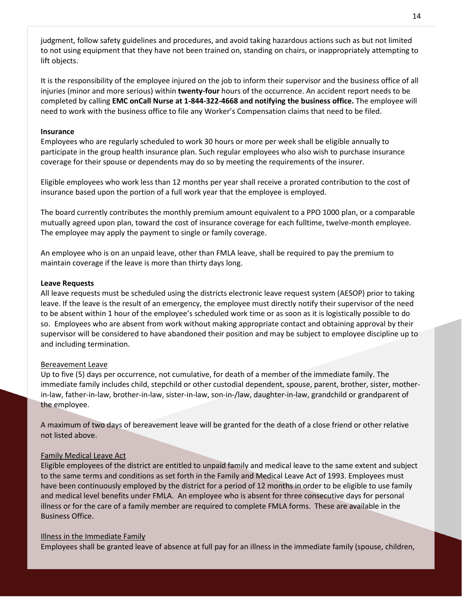judgment, follow safety guidelines and procedures, and avoid taking hazardous actions such as but not limited to not using equipment that they have not been trained on, standing on chairs, or inappropriately attempting to lift objects.

It is the responsibility of the employee injured on the job to inform their supervisor and the business office of all injuries (minor and more serious) within **twenty-four** hours of the occurrence. An accident report needs to be completed by calling **EMC onCall Nurse at 1-844-322-4668 and notifying the business office.** The employee will need to work with the business office to file any Worker's Compensation claims that need to be filed.

#### <span id="page-14-0"></span>**Insurance**

Employees who are regularly scheduled to work 30 hours or more per week shall be eligible annually to participate in the group health insurance plan. Such regular employees who also wish to purchase insurance coverage for their spouse or dependents may do so by meeting the requirements of the insurer.

Eligible employees who work less than 12 months per year shall receive a prorated contribution to the cost of insurance based upon the portion of a full work year that the employee is employed.

The board currently contributes the monthly premium amount equivalent to a PPO 1000 plan, or a comparable mutually agreed upon plan, toward the cost of insurance coverage for each fulltime, twelve-month employee. The employee may apply the payment to single or family coverage.

An employee who is on an unpaid leave, other than FMLA leave, shall be required to pay the premium to maintain coverage if the leave is more than thirty days long.

#### <span id="page-14-1"></span>**Leave Requests**

All leave requests must be scheduled using the districts electronic leave request system (AESOP) prior to taking leave. If the leave is the result of an emergency, the employee must directly notify their supervisor of the need to be absent within 1 hour of the employee's scheduled work time or as soon as it is logistically possible to do so. Employees who are absent from work without making appropriate contact and obtaining approval by their supervisor will be considered to have abandoned their position and may be subject to employee discipline up to and including termination.

#### Bereavement Leave

Up to five (5) days per occurrence, not cumulative, for death of a member of the immediate family. The immediate family includes child, stepchild or other custodial dependent, spouse, parent, brother, sister, motherin-law, father-in-law, brother-in-law, sister-in-law, son-in-/law, daughter-in-law, grandchild or grandparent of the employee.

A maximum of two days of bereavement leave will be granted for the death of a close friend or other relative not listed above.

#### Family Medical Leave Act

Eligible employees of the district are entitled to unpaid family and medical leave to the same extent and subject to the same terms and conditions as set forth in the Family and Medical Leave Act of 1993. Employees must have been continuously employed by the district for a period of 12 months in order to be eligible to use family and medical level benefits under FMLA. An employee who is absent for three consecutive days for personal illness or for the care of a family member are required to complete FMLA forms. These are available in the Business Office.

#### Illness in the Immediate Family

Employees shall be granted leave of absence at full pay for an illness in the immediate family (spouse, children,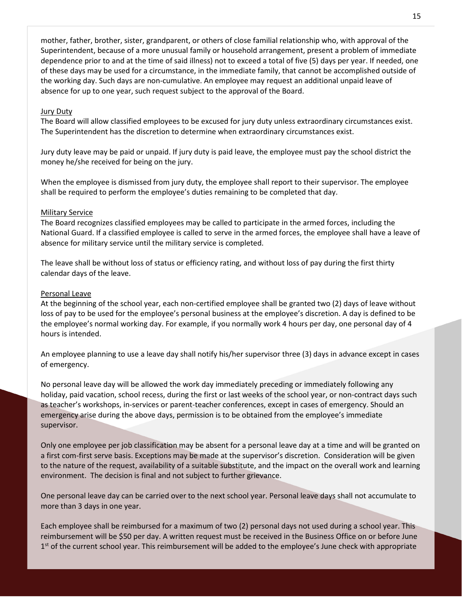mother, father, brother, sister, grandparent, or others of close familial relationship who, with approval of the Superintendent, because of a more unusual family or household arrangement, present a problem of immediate dependence prior to and at the time of said illness) not to exceed a total of five (5) days per year. If needed, one of these days may be used for a circumstance, in the immediate family, that cannot be accomplished outside of the working day. Such days are non-cumulative. An employee may request an additional unpaid leave of absence for up to one year, such request subject to the approval of the Board.

#### Jury Duty

The Board will allow classified employees to be excused for jury duty unless extraordinary circumstances exist. The Superintendent has the discretion to determine when extraordinary circumstances exist.

Jury duty leave may be paid or unpaid. If jury duty is paid leave, the employee must pay the school district the money he/she received for being on the jury.

When the employee is dismissed from jury duty, the employee shall report to their supervisor. The employee shall be required to perform the employee's duties remaining to be completed that day.

#### Military Service

The Board recognizes classified employees may be called to participate in the armed forces, including the National Guard. If a classified employee is called to serve in the armed forces, the employee shall have a leave of absence for military service until the military service is completed.

The leave shall be without loss of status or efficiency rating, and without loss of pay during the first thirty calendar days of the leave.

#### Personal Leave

At the beginning of the school year, each non-certified employee shall be granted two (2) days of leave without loss of pay to be used for the employee's personal business at the employee's discretion. A day is defined to be the employee's normal working day. For example, if you normally work 4 hours per day, one personal day of 4 hours is intended.

An employee planning to use a leave day shall notify his/her supervisor three (3) days in advance except in cases of emergency.

No personal leave day will be allowed the work day immediately preceding or immediately following any holiday, paid vacation, school recess, during the first or last weeks of the school year, or non-contract days such as teacher's workshops, in-services or parent-teacher conferences, except in cases of emergency. Should an emergency arise during the above days, permission is to be obtained from the employee's immediate supervisor.

Only one employee per job classification may be absent for a personal leave day at a time and will be granted on a first com-first serve basis. Exceptions may be made at the supervisor's discretion. Consideration will be given to the nature of the request, availability of a suitable substitute, and the impact on the overall work and learning environment. The decision is final and not subject to further grievance.

One personal leave day can be carried over to the next school year. Personal leave days shall not accumulate to more than 3 days in one year.

Each employee shall be reimbursed for a maximum of two (2) personal days not used during a school year. This reimbursement will be \$50 per day. A written request must be received in the Business Office on or before June 1<sup>st</sup> of the current school year. This reimbursement will be added to the employee's June check with appropriate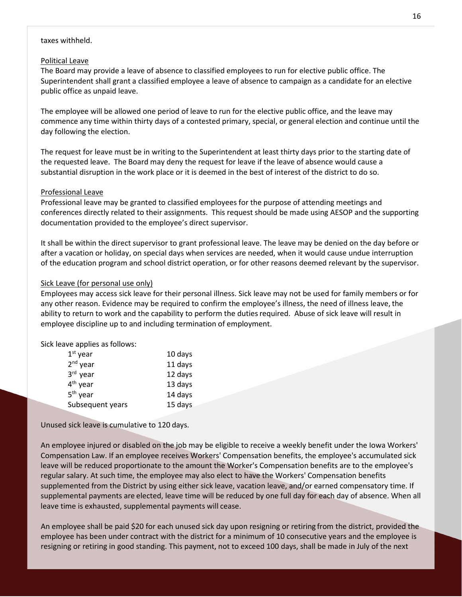#### taxes withheld.

#### Political Leave

The Board may provide a leave of absence to classified employees to run for elective public office. The Superintendent shall grant a classified employee a leave of absence to campaign as a candidate for an elective public office as unpaid leave.

The employee will be allowed one period of leave to run for the elective public office, and the leave may commence any time within thirty days of a contested primary, special, or general election and continue until the day following the election.

The request for leave must be in writing to the Superintendent at least thirty days prior to the starting date of the requested leave. The Board may deny the request for leave if the leave of absence would cause a substantial disruption in the work place or it is deemed in the best of interest of the district to do so.

#### Professional Leave

Professional leave may be granted to classified employees for the purpose of attending meetings and conferences directly related to their assignments. This request should be made using AESOP and the supporting documentation provided to the employee's direct supervisor.

It shall be within the direct supervisor to grant professional leave. The leave may be denied on the day before or after a vacation or holiday, on special days when services are needed, when it would cause undue interruption of the education program and school district operation, or for other reasons deemed relevant by the supervisor.

#### Sick Leave (for personal use only)

Employees may access sick leave for their personal illness. Sick leave may not be used for family members or for any other reason. Evidence may be required to confirm the employee's illness, the need of illness leave, the ability to return to work and the capability to perform the dutiesrequired. Abuse of sick leave will result in employee discipline up to and including termination of employment.

Sick leave applies as follows:

| $1st$ year           | 10 days |
|----------------------|---------|
| $2nd$ year           | 11 days |
| 3rd year             | 12 days |
| $4th$ year           | 13 days |
| 5 <sup>th</sup> year | 14 days |
| Subsequent years     | 15 days |
|                      |         |

Unused sick leave is cumulative to 120 days.

An employee injured or disabled on the job may be eligible to receive a weekly benefit under the Iowa Workers' Compensation Law. If an employee receives Workers' Compensation benefits, the employee's accumulated sick leave will be reduced proportionate to the amount the Worker's Compensation benefits are to the employee's regular salary. At such time, the employee may also elect to have the Workers' Compensation benefits supplemented from the District by using either sick leave, vacation leave, and/or earned compensatory time. If supplemental payments are elected, leave time will be reduced by one full day for each day of absence. When all leave time is exhausted, supplemental payments will cease.

An employee shall be paid \$20 for each unused sick day upon resigning or retiring from the district, provided the employee has been under contract with the district for a minimum of 10 consecutive years and the employee is resigning or retiring in good standing. This payment, not to exceed 100 days, shall be made in July of the next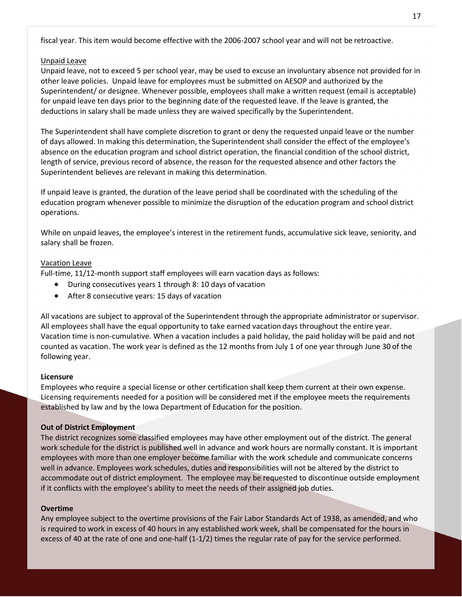fiscal year. This item would become effective with the 2006-2007 school year and will not be retroactive.

#### Unpaid Leave

Unpaid leave, not to exceed 5 per school year, may be used to excuse an involuntary absence not provided for in other leave policies. Unpaid leave for employees must be submitted on AESOP and authorized by the Superintendent/ or designee. Whenever possible, employees shall make a written request (email is acceptable) for unpaid leave ten days prior to the beginning date of the requested leave. If the leave is granted, the deductions in salary shall be made unless they are waived specifically by the Superintendent.

The Superintendent shall have complete discretion to grant or deny the requested unpaid leave or the number of days allowed. In making this determination, the Superintendent shall consider the effect of the employee's absence on the education program and school district operation, the financial condition of the school district, length of service, previous record of absence, the reason for the requested absence and other factors the Superintendent believes are relevant in making this determination.

If unpaid leave is granted, the duration of the leave period shall be coordinated with the scheduling of the education program whenever possible to minimize the disruption of the education program and school district operations.

While on unpaid leaves, the employee's interest in the retirement funds, accumulative sick leave, seniority, and salary shall be frozen.

#### Vacation Leave

Full-time, 11/12-month support staff employees will earn vacation days as follows:

- During consecutives years 1 through 8: 10 days of vacation
- After 8 consecutive years: 15 days of vacation

All vacations are subject to approval of the Superintendent through the appropriate administrator or supervisor. All employees shall have the equal opportunity to take earned vacation days throughout the entire year. Vacation time is non-cumulative. When a vacation includes a paid holiday, the paid holiday will be paid and not counted as vacation. The work year is defined as the 12 months from July 1 of one year through June 30 of the following year.

#### <span id="page-17-0"></span>**Licensure**

Employees who require a special license or other certification shall keep them current at their own expense. Licensing requirements needed for a position will be considered met if the employee meets the requirements established by law and by the Iowa Department of Education for the position.

#### <span id="page-17-1"></span>**Out of District Employment**

The district recognizes some classified employees may have other employment out of the district. The general work schedule for the district is published well in advance and work hours are normally constant. It is important employees with more than one employer become familiar with the work schedule and communicate concerns well in advance. Employees work schedules, duties and responsibilities will not be altered by the district to accommodate out of district employment. The employee may be requested to discontinue outside employment if it conflicts with the employee's ability to meet the needs of their assigned job duties.

#### <span id="page-17-2"></span>**Overtime**

Any employee subject to the overtime provisions of the Fair Labor Standards Act of 1938, as amended, and who is required to work in excess of 40 hours in any established work week, shall be compensated for the hours in excess of 40 at the rate of one and one-half (1-1/2) times the regular rate of pay for the service performed.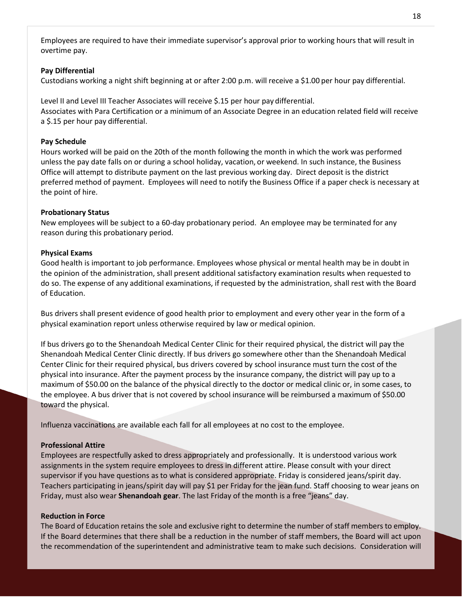Employees are required to have their immediate supervisor's approval prior to working hours that will result in overtime pay.

#### <span id="page-18-0"></span>**Pay Differential**

Custodians working a night shift beginning at or after 2:00 p.m. will receive a \$1.00 per hour pay differential.

Level II and Level III Teacher Associates will receive \$.15 per hour pay differential. Associates with Para Certification or a minimum of an Associate Degree in an education related field will receive a \$.15 per hour pay differential.

#### <span id="page-18-1"></span>**Pay Schedule**

Hours worked will be paid on the 20th of the month following the month in which the work was performed unless the pay date falls on or during a school holiday, vacation, or weekend. In such instance, the Business Office will attempt to distribute payment on the last previous working day. Direct deposit is the district preferred method of payment. Employees will need to notify the Business Office if a paper check is necessary at the point of hire.

#### <span id="page-18-2"></span>**Probationary Status**

New employees will be subject to a 60-day probationary period. An employee may be terminated for any reason during this probationary period.

#### <span id="page-18-3"></span>**Physical Exams**

Good health is important to job performance. Employees whose physical or mental health may be in doubt in the opinion of the administration, shall present additional satisfactory examination results when requested to do so. The expense of any additional examinations, if requested by the administration, shall rest with the Board of Education.

Bus drivers shall present evidence of good health prior to employment and every other year in the form of a physical examination report unless otherwise required by law or medical opinion.

If bus drivers go to the Shenandoah Medical Center Clinic for their required physical, the district will pay the Shenandoah Medical Center Clinic directly. If bus drivers go somewhere other than the Shenandoah Medical Center Clinic for their required physical, bus drivers covered by school insurance must turn the cost of the physical into insurance. After the payment process by the insurance company, the district will pay up to a maximum of \$50.00 on the balance of the physical directly to the doctor or medical clinic or, in some cases, to the employee. A bus driver that is not covered by school insurance will be reimbursed a maximum of \$50.00 toward the physical.

Influenza vaccinations are available each fall for all employees at no cost to the employee.

#### <span id="page-18-4"></span>**Professional Attire**

Employees are respectfully asked to dress appropriately and professionally. It is understood various work assignments in the system require employees to dress in different attire. Please consult with your direct supervisor if you have questions as to what is considered appropriate. Friday is considered jeans/spirit day. Teachers participating in jeans/spirit day will pay \$1 per Friday for the jean fund. Staff choosing to wear jeans on Friday, must also wear **Shenandoah gear**. The last Friday of the month is a free "jeans" day.

#### <span id="page-18-5"></span>**Reduction in Force**

The Board of Education retains the sole and exclusive right to determine the number of staff members to employ. If the Board determines that there shall be a reduction in the number of staff members, the Board will act upon the recommendation of the superintendent and administrative team to make such decisions. Consideration will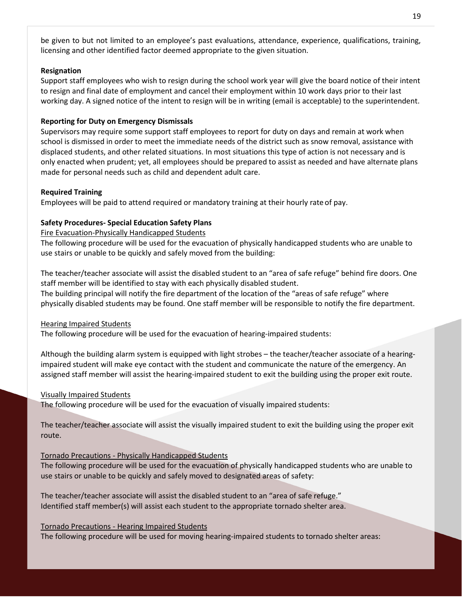be given to but not limited to an employee's past evaluations, attendance, experience, qualifications, training, licensing and other identified factor deemed appropriate to the given situation.

#### <span id="page-19-0"></span>**Resignation**

Support staff employees who wish to resign during the school work year will give the board notice of their intent to resign and final date of employment and cancel their employment within 10 work days prior to their last working day. A signed notice of the intent to resign will be in writing (email is acceptable) to the superintendent.

#### <span id="page-19-1"></span>**Reporting for Duty on Emergency Dismissals**

Supervisors may require some support staff employees to report for duty on days and remain at work when school is dismissed in order to meet the immediate needs of the district such as snow removal, assistance with displaced students, and other related situations. In most situations this type of action is not necessary and is only enacted when prudent; yet, all employees should be prepared to assist as needed and have alternate plans made for personal needs such as child and dependent adult care.

#### <span id="page-19-2"></span>**Required Training**

Employees will be paid to attend required or mandatory training at their hourly rate of pay.

#### <span id="page-19-3"></span>**Safety Procedures- Special Education Safety Plans**

Fire Evacuation-Physically Handicapped Students

The following procedure will be used for the evacuation of physically handicapped students who are unable to use stairs or unable to be quickly and safely moved from the building:

The teacher/teacher associate will assist the disabled student to an "area of safe refuge" behind fire doors. One staff member will be identified to stay with each physically disabled student.

The building principal will notify the fire department of the location of the "areas of safe refuge" where physically disabled students may be found. One staff member will be responsible to notify the fire department.

#### Hearing Impaired Students

The following procedure will be used for the evacuation of hearing-impaired students:

Although the building alarm system is equipped with light strobes – the teacher/teacher associate of a hearingimpaired student will make eye contact with the student and communicate the nature of the emergency. An assigned staff member will assist the hearing-impaired student to exit the building using the proper exit route.

#### Visually Impaired Students

The following procedure will be used for the evacuation of visually impaired students:

The teacher/teacher associate will assist the visually impaired student to exit the building using the proper exit route.

#### Tornado Precautions - Physically Handicapped Students

The following procedure will be used for the evacuation of physically handicapped students who are unable to use stairs or unable to be quickly and safely moved to designated areas of safety:

The teacher/teacher associate will assist the disabled student to an "area of safe refuge." Identified staff member(s) will assist each student to the appropriate tornado shelter area.

#### Tornado Precautions - Hearing Impaired Students

The following procedure will be used for moving hearing-impaired students to tornado shelter areas: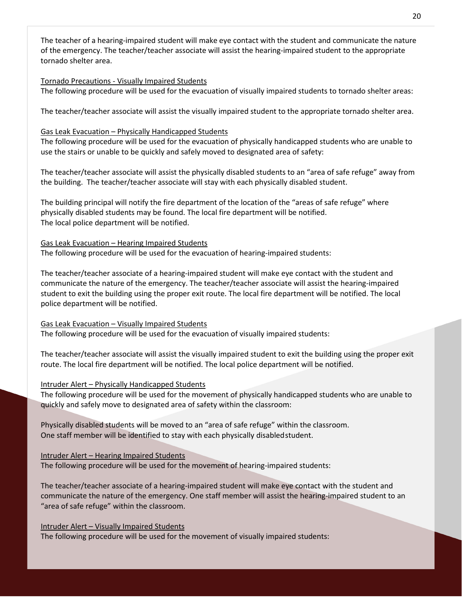The teacher of a hearing-impaired student will make eye contact with the student and communicate the nature of the emergency. The teacher/teacher associate will assist the hearing-impaired student to the appropriate tornado shelter area.

#### Tornado Precautions - Visually Impaired Students

The following procedure will be used for the evacuation of visually impaired students to tornado shelter areas:

The teacher/teacher associate will assist the visually impaired student to the appropriate tornado shelter area.

#### Gas Leak Evacuation – Physically Handicapped Students

The following procedure will be used for the evacuation of physically handicapped students who are unable to use the stairs or unable to be quickly and safely moved to designated area of safety:

The teacher/teacher associate will assist the physically disabled students to an "area of safe refuge" away from the building. The teacher/teacher associate will stay with each physically disabled student.

The building principal will notify the fire department of the location of the "areas of safe refuge" where physically disabled students may be found. The local fire department will be notified. The local police department will be notified.

#### Gas Leak Evacuation – Hearing Impaired Students

The following procedure will be used for the evacuation of hearing-impaired students:

The teacher/teacher associate of a hearing-impaired student will make eye contact with the student and communicate the nature of the emergency. The teacher/teacher associate will assist the hearing-impaired student to exit the building using the proper exit route. The local fire department will be notified. The local police department will be notified.

#### Gas Leak Evacuation – Visually Impaired Students

The following procedure will be used for the evacuation of visually impaired students:

The teacher/teacher associate will assist the visually impaired student to exit the building using the proper exit route. The local fire department will be notified. The local police department will be notified.

#### Intruder Alert – Physically Handicapped Students

The following procedure will be used for the movement of physically handicapped students who are unable to quickly and safely move to designated area of safety within the classroom:

Physically disabled students will be moved to an "area of safe refuge" within the classroom. One staff member will be identified to stay with each physically disabledstudent.

#### Intruder Alert – Hearing Impaired Students

The following procedure will be used for the movement of hearing-impaired students:

The teacher/teacher associate of a hearing-impaired student will make eye contact with the student and communicate the nature of the emergency. One staff member will assist the hearing-impaired student to an "area of safe refuge" within the classroom.

Intruder Alert – Visually Impaired Students The following procedure will be used for the movement of visually impaired students: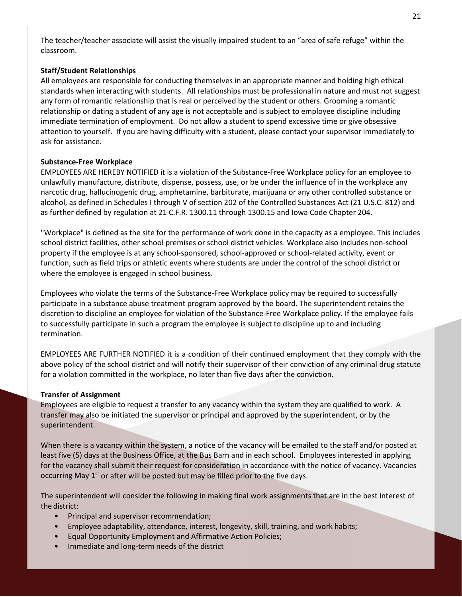The teacher/teacher associate will assist the visually impaired student to an "area of safe refuge" within the classroom.

#### <span id="page-21-0"></span>**Staff/Student Relationships**

All employees are responsible for conducting themselves in an appropriate manner and holding high ethical standards when interacting with students. All relationships must be professional in nature and must not suggest any form of romantic relationship that is real or perceived by the student or others. Grooming a romantic relationship or dating a student of any age is not acceptable and is subject to employee discipline including immediate termination of employment. Do not allow a student to spend excessive time or give obsessive attention to yourself. If you are having difficulty with a student, please contact your supervisor immediately to ask for assistance.

#### <span id="page-21-1"></span>**Substance-Free Workplace**

EMPLOYEES ARE HEREBY NOTIFIED it is a violation of the Substance-Free Workplace policy for an employee to unlawfully manufacture, distribute, dispense, possess, use, or be under the influence of in the workplace any narcotic drug, hallucinogenic drug, amphetamine, barbiturate, marijuana or any other controlled substance or alcohol, as defined in Schedules I through V of section 202 of the Controlled Substances Act (21 U.S.C. 812) and as further defined by regulation at 21 C.F.R. 1300.11 through 1300.15 and Iowa Code Chapter 204.

"Workplace" is defined as the site for the performance of work done in the capacity as a employee. This includes school district facilities, other school premises or school district vehicles. Workplace also includes non-school property if the employee is at any school-sponsored, school-approved or school-related activity, event or function, such as field trips or athletic events where students are under the control of the school district or where the employee is engaged in school business.

Employees who violate the terms of the Substance-Free Workplace policy may be required to successfully participate in a substance abuse treatment program approved by the board. The superintendent retains the discretion to discipline an employee for violation of the Substance-Free Workplace policy. If the employee fails to successfully participate in such a program the employee is subject to discipline up to and including termination.

EMPLOYEES ARE FURTHER NOTIFIED it is a condition of their continued employment that they comply with the above policy of the school district and will notify their supervisor of their conviction of any criminal drug statute for a violation committed in the workplace, no later than five days after the conviction.

#### <span id="page-21-2"></span>**Transfer of Assignment**

Employees are eligible to request a transfer to any vacancy within the system they are qualified to work. A transfer may also be initiated the supervisor or principal and approved by the superintendent, or by the superintendent.

When there is a vacancy within the system, a notice of the vacancy will be emailed to the staff and/or posted at least five (5) days at the Business Office, at the Bus Barn and in each school. Employees interested in applying for the vacancy shall submit their request for consideration in accordance with the notice of vacancy. Vacancies occurring May  $1<sup>st</sup>$  or after will be posted but may be filled prior to the five days.

The superintendent will consider the following in making final work assignments that are in the best interest of the district:

- Principal and supervisor recommendation;
- Employee adaptability, attendance, interest, longevity, skill, training, and work habits;
- Equal Opportunity Employment and Affirmative Action Policies;
- Immediate and long-term needs of the district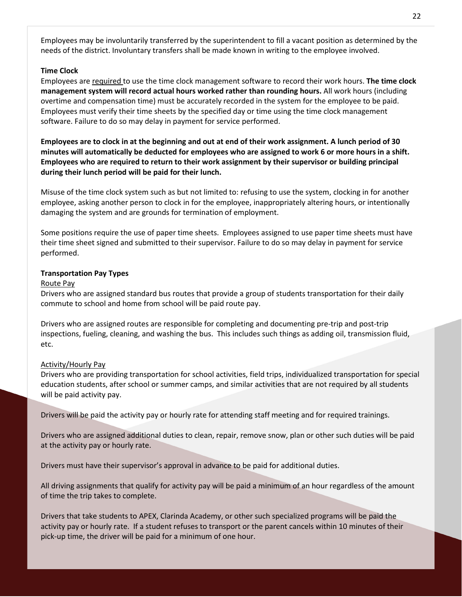Employees may be involuntarily transferred by the superintendent to fill a vacant position as determined by the needs of the district. Involuntary transfers shall be made known in writing to the employee involved.

#### <span id="page-22-0"></span>**Time Clock**

Employees are required to use the time clock management software to record their work hours. **The time clock management system will record actual hours worked rather than rounding hours.** All work hours (including overtime and compensation time) must be accurately recorded in the system for the employee to be paid. Employees must verify their time sheets by the specified day or time using the time clock management software. Failure to do so may delay in payment for service performed.

**Employees are to clock in at the beginning and out at end of their work assignment. A lunch period of 30 minutes will automatically be deducted for employees who are assigned to work 6 or more hours in a shift. Employees who are required to return to their work assignment by their supervisor or building principal during their lunch period will be paid for their lunch.** 

Misuse of the time clock system such as but not limited to: refusing to use the system, clocking in for another employee, asking another person to clock in for the employee, inappropriately altering hours, or intentionally damaging the system and are grounds for termination of employment.

Some positions require the use of paper time sheets. Employees assigned to use paper time sheets must have their time sheet signed and submitted to their supervisor. Failure to do so may delay in payment for service performed.

#### <span id="page-22-1"></span>**Transportation Pay Types**

#### Route Pay

Drivers who are assigned standard bus routes that provide a group of students transportation for their daily commute to school and home from school will be paid route pay.

Drivers who are assigned routes are responsible for completing and documenting pre-trip and post-trip inspections, fueling, cleaning, and washing the bus. This includes such things as adding oil, transmission fluid, etc.

#### Activity/Hourly Pay

Drivers who are providing transportation for school activities, field trips, individualized transportation for special education students, after school or summer camps, and similar activities that are not required by all students will be paid activity pay.

Drivers will be paid the activity pay or hourly rate for attending staff meeting and for required trainings.

Drivers who are assigned additional duties to clean, repair, remove snow, plan or other such duties will be paid at the activity pay or hourly rate.

Drivers must have their supervisor's approval in advance to be paid for additional duties.

All driving assignments that qualify for activity pay will be paid a minimum of an hour regardless of the amount of time the trip takes to complete.

Drivers that take students to APEX, Clarinda Academy, or other such specialized programs will be paid the activity pay or hourly rate. If a student refuses to transport or the parent cancels within 10 minutes of their pick-up time, the driver will be paid for a minimum of one hour.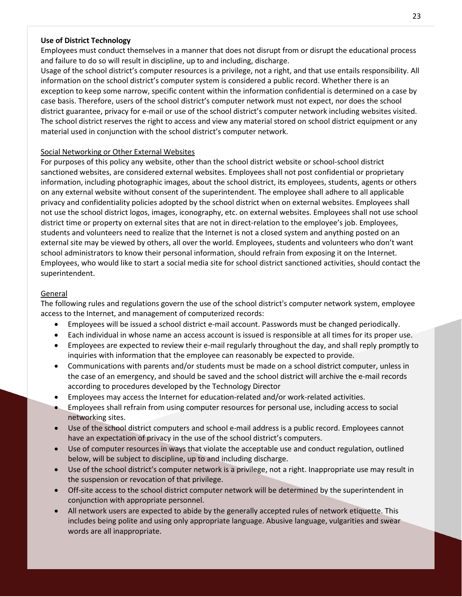#### <span id="page-23-0"></span>**Use of District Technology**

Employees must conduct themselves in a manner that does not disrupt from or disrupt the educational process and failure to do so will result in discipline, up to and including, discharge.

Usage of the school district's computer resources is a privilege, not a right, and that use entails responsibility. All information on the school district's computer system is considered a public record. Whether there is an exception to keep some narrow, specific content within the information confidential is determined on a case by case basis. Therefore, users of the school district's computer network must not expect, nor does the school district guarantee, privacy for e-mail or use of the school district's computer network including websites visited. The school district reserves the right to access and view any material stored on school district equipment or any material used in conjunction with the school district's computer network.

#### Social Networking or Other External Websites

For purposes of this policy any website, other than the school district website or school-school district sanctioned websites, are considered external websites. Employees shall not post confidential or proprietary information, including photographic images, about the school district, its employees, students, agents or others on any external website without consent of the superintendent. The employee shall adhere to all applicable privacy and confidentiality policies adopted by the school district when on external websites. Employees shall not use the school district logos, images, iconography, etc. on external websites. Employees shall not use school district time or property on external sites that are not in direct-relation to the employee's job. Employees, students and volunteers need to realize that the Internet is not a closed system and anything posted on an external site may be viewed by others, all over the world. Employees, students and volunteers who don't want school administrators to know their personal information, should refrain from exposing it on the Internet. Employees, who would like to start a social media site for school district sanctioned activities, should contact the superintendent.

#### General

The following rules and regulations govern the use of the school district's computer network system, employee access to the Internet, and management of computerized records:

- Employees will be issued a school district e-mail account. Passwords must be changed periodically.
- Each individual in whose name an access account is issued is responsible at all times for its proper use.
- Employees are expected to review their e-mail regularly throughout the day, and shall reply promptly to inquiries with information that the employee can reasonably be expected to provide.
- Communications with parents and/or students must be made on a school district computer, unless in the case of an emergency, and should be saved and the school district will archive the e-mail records according to procedures developed by the Technology Director
- Employees may access the Internet for education-related and/or work-related activities.
- Employees shall refrain from using computer resources for personal use, including access to social networking sites.
- Use of the school district computers and school e-mail address is a public record. Employees cannot have an expectation of privacy in the use of the school district's computers.
- Use of computer resources in ways that violate the acceptable use and conduct regulation, outlined below, will be subject to discipline, up to and including discharge.
- Use of the school district's computer network is a privilege, not a right. Inappropriate use may result in the suspension or revocation of that privilege.
- Off-site access to the school district computer network will be determined by the superintendent in conjunction with appropriate personnel.
- All network users are expected to abide by the generally accepted rules of network etiquette. This includes being polite and using only appropriate language. Abusive language, vulgarities and swear words are all inappropriate.